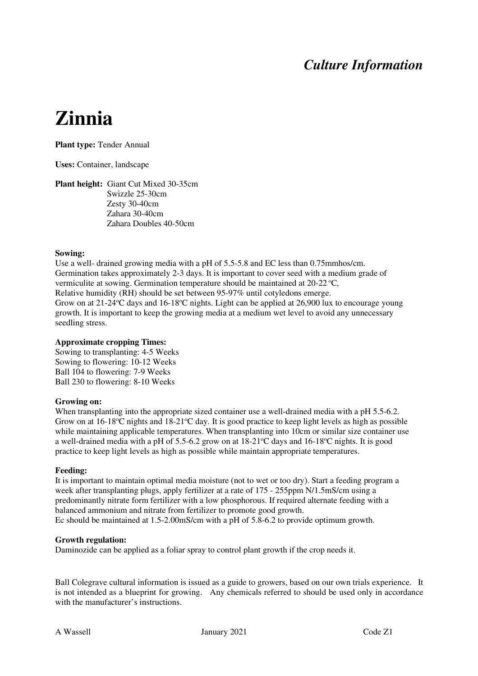## *Culture Information*

# **Zinnia**

**Plant type:** Tender Annual

**Uses:** Container, landscape

**Plant height:** Giant Cut Mixed 30-35cm Swizzle 25-30cm Zesty 30-40cm Zahara 30-40cm Zahara Doubles 40-50cm

#### **Sowing:**

Use a well- drained growing media with a pH of 5.5-5.8 and EC less than 0.75mmhos/cm. Germination takes approximately 2-3 days. It is important to cover seed with a medium grade of vermiculite at sowing. Germination temperature should be maintained at  $20-22$  °C, Relative humidity (RH) should be set between 95-97% until cotyledons emerge. Grow on at 21-24 °C days and 16-18 °C nights. Light can be applied at 26,900 lux to encourage young growth. It is important to keep the growing media at a medium wet level to avoid any unnecessary seedling stress.

#### **Approximate cropping Times:**

Sowing to transplanting: 4-5 Weeks Sowing to flowering: 10-12 Weeks Ball 104 to flowering: 7-9 Weeks Ball 230 to flowering: 8-10 Weeks

#### **Growing on:**

When transplanting into the appropriate sized container use a well-drained media with a pH 5.5-6.2. Grow on at  $16\text{-}18\text{°C}$  nights and  $18\text{-}21\text{°C}$  day. It is good practice to keep light levels as high as possible while maintaining applicable temperatures. When transplanting into 10cm or similar size container use a well-drained media with a pH of 5.5-6.2 grow on at  $18{\text -}21^{\circ}\text{C}$  days and  $16{\text -}18^{\circ}\text{C}$  nights. It is good practice to keep light levels as high as possible while maintain appropriate temperatures.

#### **Feeding:**

It is important to maintain optimal media moisture (not to wet or too dry). Start a feeding program a week after transplanting plugs, apply fertilizer at a rate of 175 - 255ppm N/1.5mS/cm using a predominantly nitrate form fertilizer with a low phosphorous. If required alternate feeding with a balanced ammonium and nitrate from fertilizer to promote good growth. Ec should be maintained at 1.5-2.00mS/cm with a pH of 5.8-6.2 to provide optimum growth.

#### **Growth regulation:**

Daminozide can be applied as a foliar spray to control plant growth if the crop needs it.

Ball Colegrave cultural information is issued as a guide to growers, based on our own trials experience. It is not intended as a blueprint for growing. Any chemicals referred to should be used only in accordance with the manufacturer's instructions.